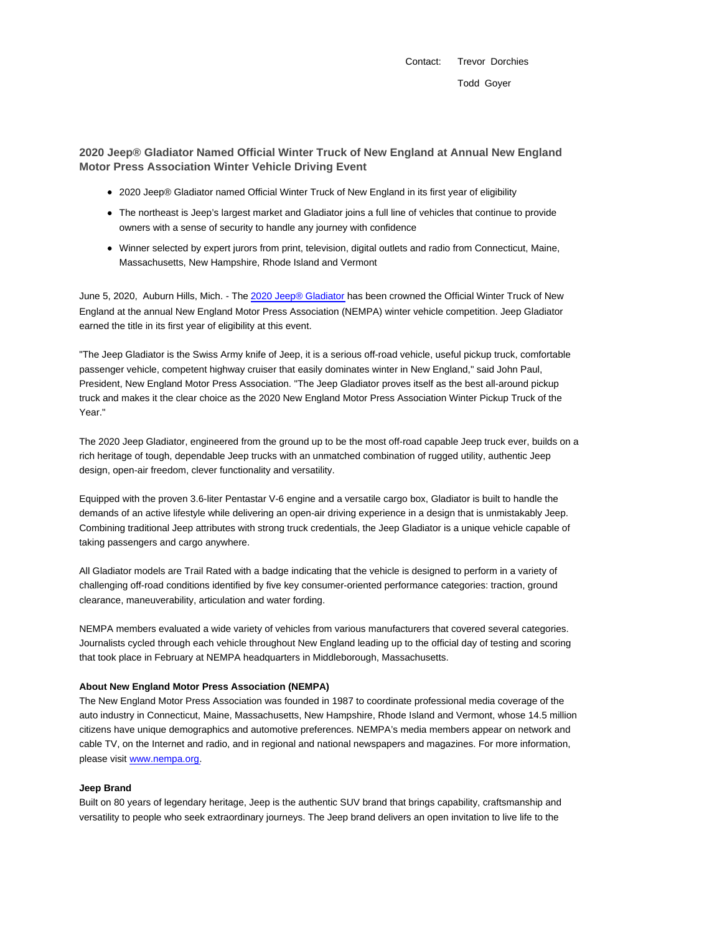Contact: Trevor Dorchies Todd Goyer

## **2020 Jeep® Gladiator Named Official Winter Truck of New England at Annual New England Motor Press Association Winter Vehicle Driving Event**

- 2020 Jeep® Gladiator named Official Winter Truck of New England in its first year of eligibility
- The northeast is Jeep's largest market and Gladiator joins a full line of vehicles that continue to provide owners with a sense of security to handle any journey with confidence
- Winner selected by expert jurors from print, television, digital outlets and radio from Connecticut, Maine, Massachusetts, New Hampshire, Rhode Island and Vermont

June 5, 2020, Auburn Hills, Mich. - The 2020 Jeep® Gladiator has been crowned the Official Winter Truck of New England at the annual New England Motor Press Association (NEMPA) winter vehicle competition. Jeep Gladiator earned the title in its first year of eligibility at this event.

"The Jeep Gladiator is the Swiss Army knife of Jeep, it is a serious off-road vehicle, useful pickup truck, comfortable passenger vehicle, competent highway cruiser that easily dominates winter in New England," said John Paul, President, New England Motor Press Association. "The Jeep Gladiator proves itself as the best all-around pickup truck and makes it the clear choice as the 2020 New England Motor Press Association Winter Pickup Truck of the Year."

The 2020 Jeep Gladiator, engineered from the ground up to be the most off-road capable Jeep truck ever, builds on a rich heritage of tough, dependable Jeep trucks with an unmatched combination of rugged utility, authentic Jeep design, open-air freedom, clever functionality and versatility.

Equipped with the proven 3.6-liter Pentastar V-6 engine and a versatile cargo box, Gladiator is built to handle the demands of an active lifestyle while delivering an open-air driving experience in a design that is unmistakably Jeep. Combining traditional Jeep attributes with strong truck credentials, the Jeep Gladiator is a unique vehicle capable of taking passengers and cargo anywhere.

All Gladiator models are Trail Rated with a badge indicating that the vehicle is designed to perform in a variety of challenging off-road conditions identified by five key consumer-oriented performance categories: traction, ground clearance, maneuverability, articulation and water fording.

NEMPA members evaluated a wide variety of vehicles from various manufacturers that covered several categories. Journalists cycled through each vehicle throughout New England leading up to the official day of testing and scoring that took place in February at NEMPA headquarters in Middleborough, Massachusetts.

## **About New England Motor Press Association (NEMPA)**

The New England Motor Press Association was founded in 1987 to coordinate professional media coverage of the auto industry in Connecticut, Maine, Massachusetts, New Hampshire, Rhode Island and Vermont, whose 14.5 million citizens have unique demographics and automotive preferences. NEMPA's media members appear on network and cable TV, on the Internet and radio, and in regional and national newspapers and magazines. For more information, please visit www.nempa.org.

## **Jeep Brand**

Built on 80 years of legendary heritage, Jeep is the authentic SUV brand that brings capability, craftsmanship and versatility to people who seek extraordinary journeys. The Jeep brand delivers an open invitation to live life to the